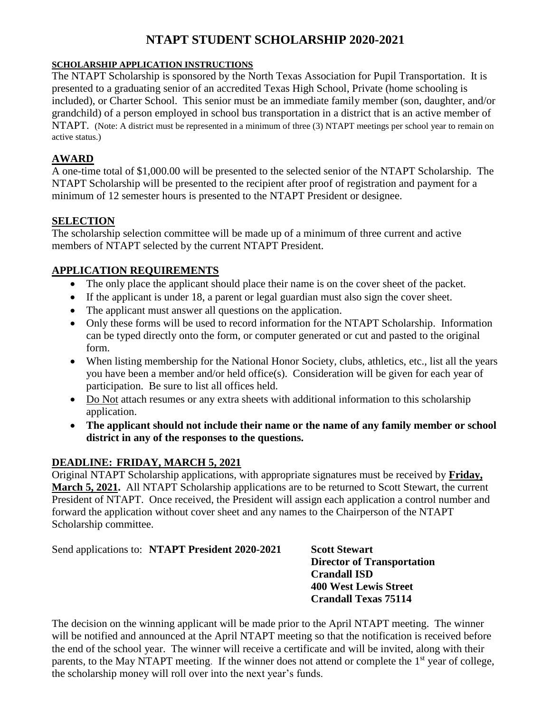### **NTAPT STUDENT SCHOLARSHIP 2020-2021**

#### **SCHOLARSHIP APPLICATION INSTRUCTIONS**

The NTAPT Scholarship is sponsored by the North Texas Association for Pupil Transportation. It is presented to a graduating senior of an accredited Texas High School, Private (home schooling is included), or Charter School. This senior must be an immediate family member (son, daughter, and/or grandchild) of a person employed in school bus transportation in a district that is an active member of NTAPT. (Note: A district must be represented in a minimum of three (3) NTAPT meetings per school year to remain on active status.)

#### **AWARD**

A one-time total of \$1,000.00 will be presented to the selected senior of the NTAPT Scholarship. The NTAPT Scholarship will be presented to the recipient after proof of registration and payment for a minimum of 12 semester hours is presented to the NTAPT President or designee.

#### **SELECTION**

The scholarship selection committee will be made up of a minimum of three current and active members of NTAPT selected by the current NTAPT President.

#### **APPLICATION REQUIREMENTS**

- The only place the applicant should place their name is on the cover sheet of the packet.
- If the applicant is under 18, a parent or legal guardian must also sign the cover sheet.
- The applicant must answer all questions on the application.
- Only these forms will be used to record information for the NTAPT Scholarship. Information can be typed directly onto the form, or computer generated or cut and pasted to the original form.
- When listing membership for the National Honor Society, clubs, athletics, etc., list all the years you have been a member and/or held office(s). Consideration will be given for each year of participation. Be sure to list all offices held.
- Do Not attach resumes or any extra sheets with additional information to this scholarship application.
- **The applicant should not include their name or the name of any family member or school district in any of the responses to the questions.**

#### **DEADLINE: FRIDAY, MARCH 5, 2021**

Original NTAPT Scholarship applications, with appropriate signatures must be received by **Friday, March 5, 2021.** All NTAPT Scholarship applications are to be returned to Scott Stewart, the current President of NTAPT. Once received, the President will assign each application a control number and forward the application without cover sheet and any names to the Chairperson of the NTAPT Scholarship committee.

Send applications to: **NTAPT President 2020-2021 Scott Stewart** 

**Director of Transportation Crandall ISD 400 West Lewis Street Crandall Texas 75114**

The decision on the winning applicant will be made prior to the April NTAPT meeting. The winner will be notified and announced at the April NTAPT meeting so that the notification is received before the end of the school year. The winner will receive a certificate and will be invited, along with their parents, to the May NTAPT meeting. If the winner does not attend or complete the 1<sup>st</sup> year of college, the scholarship money will roll over into the next year's funds.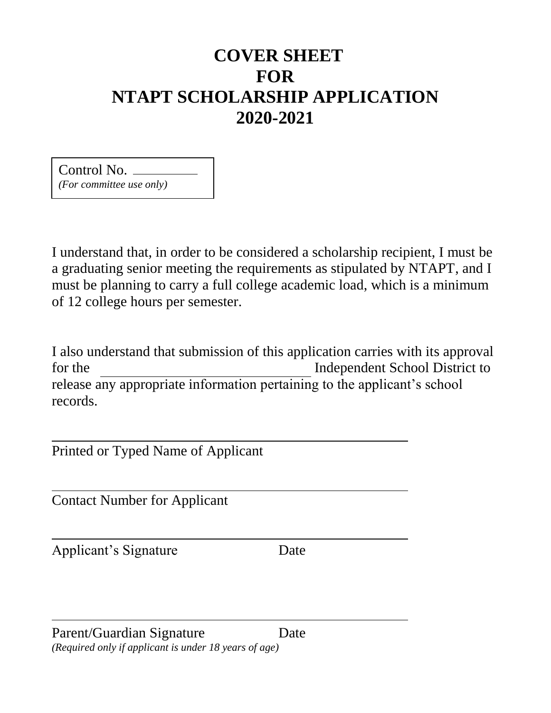# **COVER SHEET FOR NTAPT SCHOLARSHIP APPLICATION 2020-2021**

Control No. *(For committee use only)*

I understand that, in order to be considered a scholarship recipient, I must be a graduating senior meeting the requirements as stipulated by NTAPT, and I must be planning to carry a full college academic load, which is a minimum of 12 college hours per semester.

I also understand that submission of this application carries with its approval for the Independent School District to release any appropriate information pertaining to the applicant's school records.

Printed or Typed Name of Applicant

Contact Number for Applicant

Applicant's Signature Date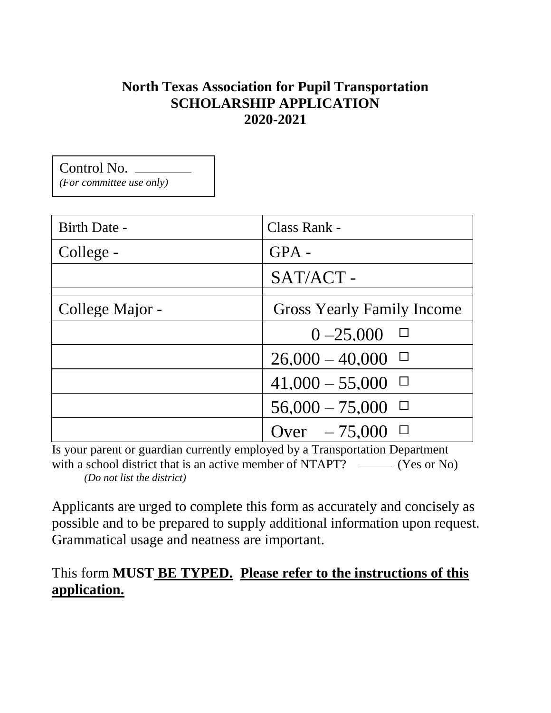## **North Texas Association for Pupil Transportation SCHOLARSHIP APPLICATION 2020-2021**

Control No. *(For committee use only)*

| Birth Date -    | Class Rank -                      |
|-----------------|-----------------------------------|
| College -       | $GPA -$                           |
|                 | SAT/ACT -                         |
| College Major - | <b>Gross Yearly Family Income</b> |
|                 | $0 - 25,000$                      |
|                 | $26,000 - 40,000$                 |
|                 | $41,000 - 55,000$                 |
|                 | $56,000 - 75,000$                 |
|                 | Over $-75,000$ $\Box$             |

Is your parent or guardian currently employed by a Transportation Department with a school district that is an active member of NTAPT?  $\_\_\_\_\_$ (Yes or No) *(Do not list the district)*

Applicants are urged to complete this form as accurately and concisely as possible and to be prepared to supply additional information upon request. Grammatical usage and neatness are important.

## This form **MUST BE TYPED. Please refer to the instructions of this application.**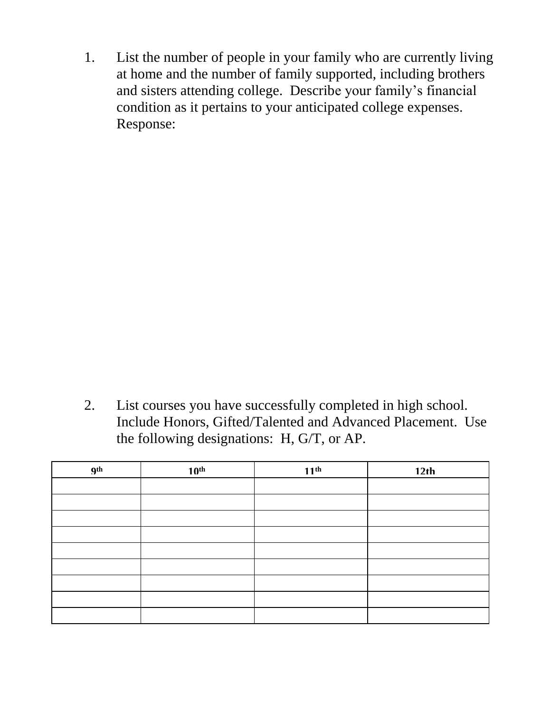1. List the number of people in your family who are currently living at home and the number of family supported, including brothers and sisters attending college. Describe your family's financial condition as it pertains to your anticipated college expenses. Response:

2. List courses you have successfully completed in high school. Include Honors, Gifted/Talented and Advanced Placement. Use the following designations: H, G/T, or AP.

| <b>gth</b> | 10 <sup>th</sup> | 11 <sup>th</sup> | 12th |
|------------|------------------|------------------|------|
|            |                  |                  |      |
|            |                  |                  |      |
|            |                  |                  |      |
|            |                  |                  |      |
|            |                  |                  |      |
|            |                  |                  |      |
|            |                  |                  |      |
|            |                  |                  |      |
|            |                  |                  |      |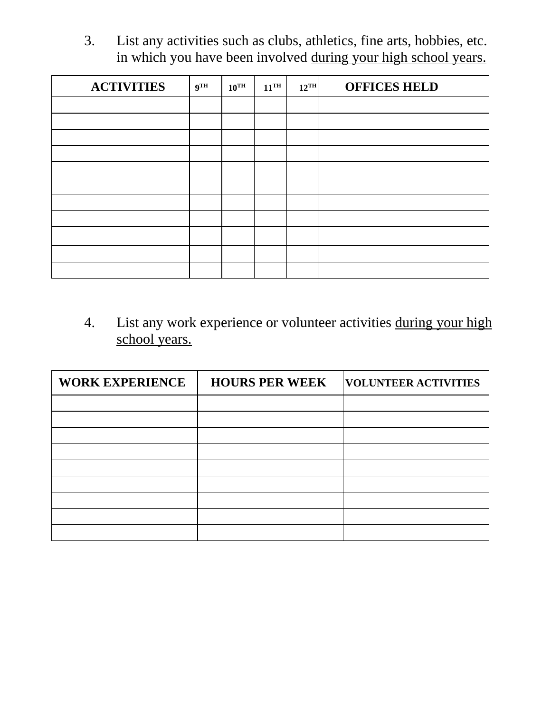3. List any activities such as clubs, athletics, fine arts, hobbies, etc. in which you have been involved during your high school years.

| <b>ACTIVITIES</b> | 9 <sup>TH</sup> | $10^{\text{TH}}$ | $11^{\text{TH}}$ | $12^{\text{TH}}$ | <b>OFFICES HELD</b> |
|-------------------|-----------------|------------------|------------------|------------------|---------------------|
|                   |                 |                  |                  |                  |                     |
|                   |                 |                  |                  |                  |                     |
|                   |                 |                  |                  |                  |                     |
|                   |                 |                  |                  |                  |                     |
|                   |                 |                  |                  |                  |                     |
|                   |                 |                  |                  |                  |                     |
|                   |                 |                  |                  |                  |                     |
|                   |                 |                  |                  |                  |                     |
|                   |                 |                  |                  |                  |                     |
|                   |                 |                  |                  |                  |                     |
|                   |                 |                  |                  |                  |                     |

4. List any work experience or volunteer activities during your high school years.

| <b>WORK EXPERIENCE</b> | <b>HOURS PER WEEK</b> | <b>VOLUNTEER ACTIVITIES</b> |
|------------------------|-----------------------|-----------------------------|
|                        |                       |                             |
|                        |                       |                             |
|                        |                       |                             |
|                        |                       |                             |
|                        |                       |                             |
|                        |                       |                             |
|                        |                       |                             |
|                        |                       |                             |
|                        |                       |                             |